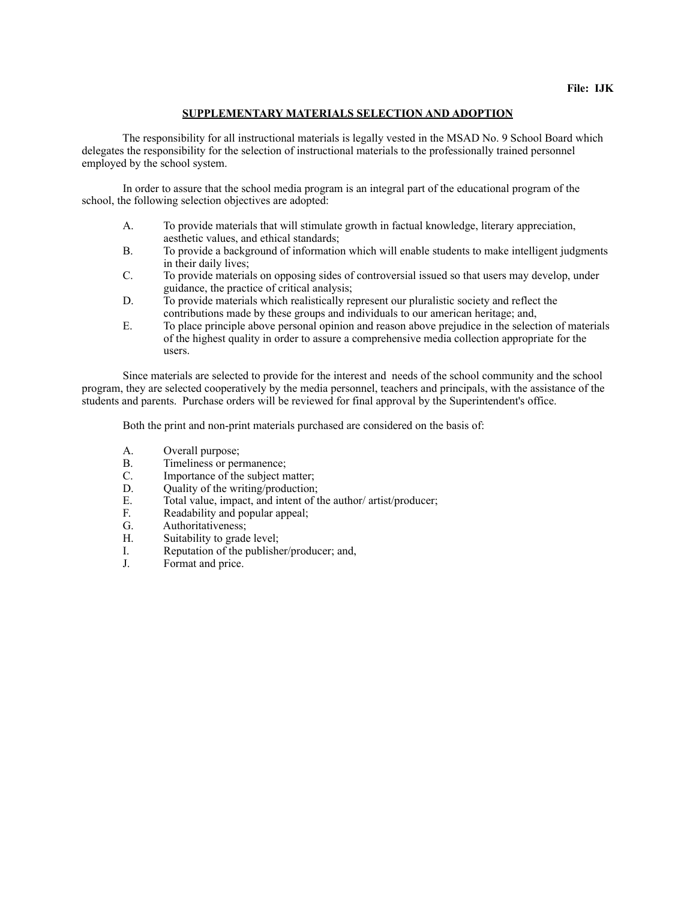## **SUPPLEMENTARY MATERIALS SELECTION AND ADOPTION**

 The responsibility for all instructional materials is legally vested in the MSAD No. 9 School Board which delegates the responsibility for the selection of instructional materials to the professionally trained personnel employed by the school system.

 In order to assure that the school media program is an integral part of the educational program of the school, the following selection objectives are adopted:

- A. To provide materials that will stimulate growth in factual knowledge, literary appreciation, aesthetic values, and ethical standards;
- B. To provide a background of information which will enable students to make intelligent judgments in their daily lives;
- C. To provide materials on opposing sides of controversial issued so that users may develop, under guidance, the practice of critical analysis;
- D. To provide materials which realistically represent our pluralistic society and reflect the contributions made by these groups and individuals to our american heritage; and,
- E. To place principle above personal opinion and reason above prejudice in the selection of materials of the highest quality in order to assure a comprehensive media collection appropriate for the users.

 Since materials are selected to provide for the interest and needs of the school community and the school program, they are selected cooperatively by the media personnel, teachers and principals, with the assistance of the students and parents. Purchase orders will be reviewed for final approval by the Superintendent's office.

Both the print and non-print materials purchased are considered on the basis of:

- A. Overall purpose;
- B. Timeliness or permanence;<br>C. Importance of the subject m
- C. Importance of the subject matter;<br>D. Ouality of the writing/production:
- D. Quality of the writing/production;<br>E. Total value, impact, and intent of the
- Total value, impact, and intent of the author/ artist/producer;
- F. Readability and popular appeal;<br>G. Authoritativeness;
- Authoritativeness;
- H. Suitability to grade level;
- I. Reputation of the publisher/producer; and,<br>
J. Format and price.
- Format and price.